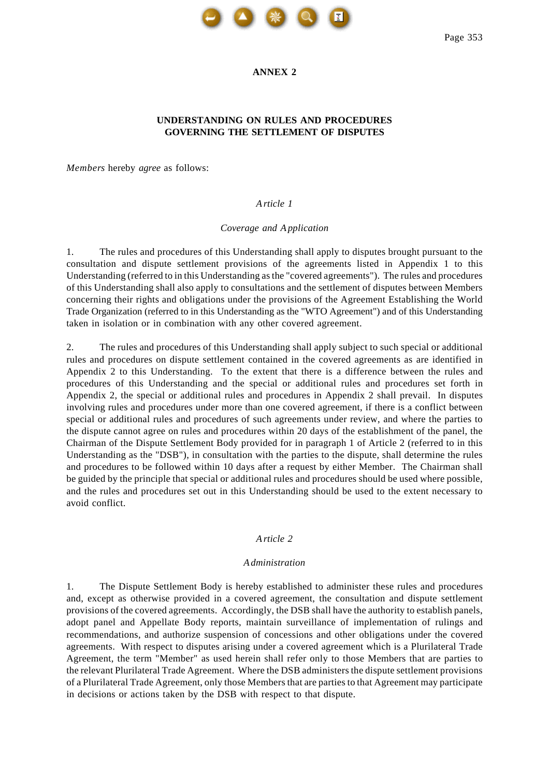#### **ANNEX 2**

### **UNDERSTANDING ON RULES AND PROCEDURES GOVERNING THE SETTLEMENT OF DISPUTES**

*Members* hereby *agree* as follows:

## *Article 1*

#### *Coverage and Application*

1. The rules and procedures of this Understanding shall apply to disputes brought pursuant to the consultation and dispute settlement provisions of the agreements listed in Appendix 1 to this Understanding (referred to in this Understanding as the "covered agreements"). The rules and procedures of this Understanding shall also apply to consultations and the settlement of disputes between Members concerning their rights and obligations under the provisions of the Agreement Establishing the World Trade Organization (referred to in this Understanding as the "WTO Agreement") and of this Understanding taken in isolation or in combination with any other covered agreement.

2. The rules and procedures of this Understanding shall apply subject to such special or additional rules and procedures on dispute settlement contained in the covered agreements as are identified in Appendix 2 to this Understanding. To the extent that there is a difference between the rules and procedures of this Understanding and the special or additional rules and procedures set forth in Appendix 2, the special or additional rules and procedures in Appendix 2 shall prevail. In disputes involving rules and procedures under more than one covered agreement, if there is a conflict between special or additional rules and procedures of such agreements under review, and where the parties to the dispute cannot agree on rules and procedures within 20 days of the establishment of the panel, the Chairman of the Dispute Settlement Body provided for in paragraph 1 of Article 2 (referred to in this Understanding as the "DSB"), in consultation with the parties to the dispute, shall determine the rules and procedures to be followed within 10 days after a request by either Member. The Chairman shall be guided by the principle that special or additional rules and procedures should be used where possible, and the rules and procedures set out in this Understanding should be used to the extent necessary to avoid conflict.

#### *Article 2*

#### *Administration*

1. The Dispute Settlement Body is hereby established to administer these rules and procedures and, except as otherwise provided in a covered agreement, the consultation and dispute settlement provisions of the covered agreements. Accordingly, the DSB shall have the authority to establish panels, adopt panel and Appellate Body reports, maintain surveillance of implementation of rulings and recommendations, and authorize suspension of concessions and other obligations under the covered agreements. With respect to disputes arising under a covered agreement which is a Plurilateral Trade Agreement, the term "Member" as used herein shall refer only to those Members that are parties to the relevant Plurilateral Trade Agreement. Where the DSB administers the dispute settlement provisions of a Plurilateral Trade Agreement, only those Members that are parties to that Agreement may participate in decisions or actions taken by the DSB with respect to that dispute.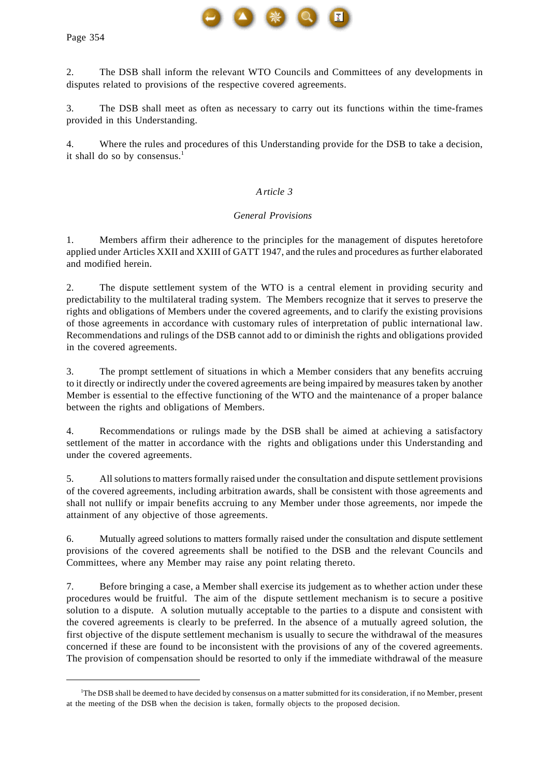2. The DSB shall inform the relevant WTO Councils and Committees of any developments in disputes related to provisions of the respective covered agreements.

3. The DSB shall meet as often as necessary to carry out its functions within the time-frames provided in this Understanding.

4. Where the rules and procedures of this Understanding provide for the DSB to take a decision, it shall do so by consensus. $<sup>1</sup>$ </sup>

## *Article 3*

## *General Provisions*

1. Members affirm their adherence to the principles for the management of disputes heretofore applied under Articles XXII and XXIII of GATT 1947, and the rules and procedures as further elaborated and modified herein.

2. The dispute settlement system of the WTO is a central element in providing security and predictability to the multilateral trading system. The Members recognize that it serves to preserve the rights and obligations of Members under the covered agreements, and to clarify the existing provisions of those agreements in accordance with customary rules of interpretation of public international law. Recommendations and rulings of the DSB cannot add to or diminish the rights and obligations provided in the covered agreements.

3. The prompt settlement of situations in which a Member considers that any benefits accruing to it directly or indirectly under the covered agreements are being impaired by measures taken by another Member is essential to the effective functioning of the WTO and the maintenance of a proper balance between the rights and obligations of Members.

4. Recommendations or rulings made by the DSB shall be aimed at achieving a satisfactory settlement of the matter in accordance with the rights and obligations under this Understanding and under the covered agreements.

5. All solutions to matters formally raised under the consultation and dispute settlement provisions of the covered agreements, including arbitration awards, shall be consistent with those agreements and shall not nullify or impair benefits accruing to any Member under those agreements, nor impede the attainment of any objective of those agreements.

6. Mutually agreed solutions to matters formally raised under the consultation and dispute settlement provisions of the covered agreements shall be notified to the DSB and the relevant Councils and Committees, where any Member may raise any point relating thereto.

7. Before bringing a case, a Member shall exercise its judgement as to whether action under these procedures would be fruitful. The aim of the dispute settlement mechanism is to secure a positive solution to a dispute. A solution mutually acceptable to the parties to a dispute and consistent with the covered agreements is clearly to be preferred. In the absence of a mutually agreed solution, the first objective of the dispute settlement mechanism is usually to secure the withdrawal of the measures concerned if these are found to be inconsistent with the provisions of any of the covered agreements. The provision of compensation should be resorted to only if the immediate withdrawal of the measure

<sup>1</sup>The DSB shall be deemed to have decided by consensus on a matter submitted for its consideration, if no Member, present at the meeting of the DSB when the decision is taken, formally objects to the proposed decision.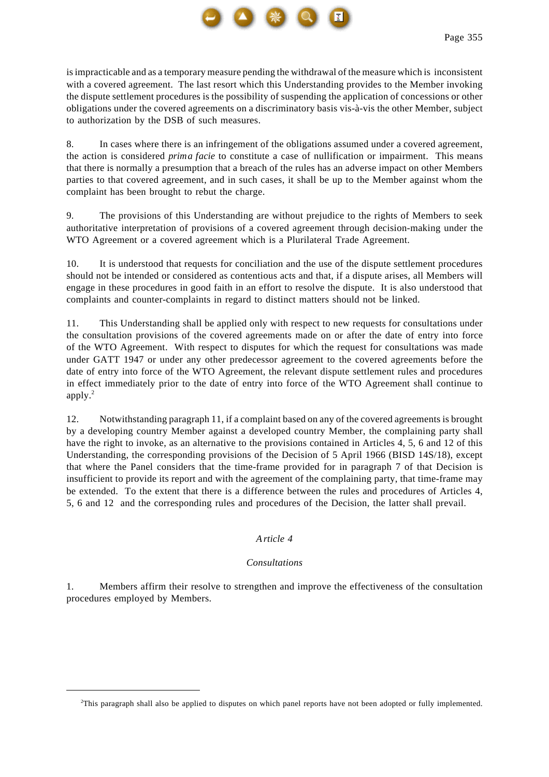is impracticable and as a temporary measure pending the withdrawal of the measure which is inconsistent with a covered agreement. The last resort which this Understanding provides to the Member invoking the dispute settlement procedures is the possibility of suspending the application of concessions or other obligations under the covered agreements on a discriminatory basis vis-à-vis the other Member, subject to authorization by the DSB of such measures.

8. In cases where there is an infringement of the obligations assumed under a covered agreement, the action is considered *prima facie* to constitute a case of nullification or impairment. This means that there is normally a presumption that a breach of the rules has an adverse impact on other Members parties to that covered agreement, and in such cases, it shall be up to the Member against whom the complaint has been brought to rebut the charge.

9. The provisions of this Understanding are without prejudice to the rights of Members to seek authoritative interpretation of provisions of a covered agreement through decision-making under the WTO Agreement or a covered agreement which is a Plurilateral Trade Agreement.

10. It is understood that requests for conciliation and the use of the dispute settlement procedures should not be intended or considered as contentious acts and that, if a dispute arises, all Members will engage in these procedures in good faith in an effort to resolve the dispute. It is also understood that complaints and counter-complaints in regard to distinct matters should not be linked.

11. This Understanding shall be applied only with respect to new requests for consultations under the consultation provisions of the covered agreements made on or after the date of entry into force of the WTO Agreement. With respect to disputes for which the request for consultations was made under GATT 1947 or under any other predecessor agreement to the covered agreements before the date of entry into force of the WTO Agreement, the relevant dispute settlement rules and procedures in effect immediately prior to the date of entry into force of the WTO Agreement shall continue to apply. $^{2}$ 

12. Notwithstanding paragraph 11, if a complaint based on any of the covered agreements is brought by a developing country Member against a developed country Member, the complaining party shall have the right to invoke, as an alternative to the provisions contained in Articles 4, 5, 6 and 12 of this Understanding, the corresponding provisions of the Decision of 5 April 1966 (BISD 14S/18), except that where the Panel considers that the time-frame provided for in paragraph 7 of that Decision is insufficient to provide its report and with the agreement of the complaining party, that time-frame may be extended. To the extent that there is a difference between the rules and procedures of Articles 4, 5, 6 and 12 and the corresponding rules and procedures of the Decision, the latter shall prevail.

## *Article 4*

## *Consultations*

1. Members affirm their resolve to strengthen and improve the effectiveness of the consultation procedures employed by Members.

 ${}^{2}$ This paragraph shall also be applied to disputes on which panel reports have not been adopted or fully implemented.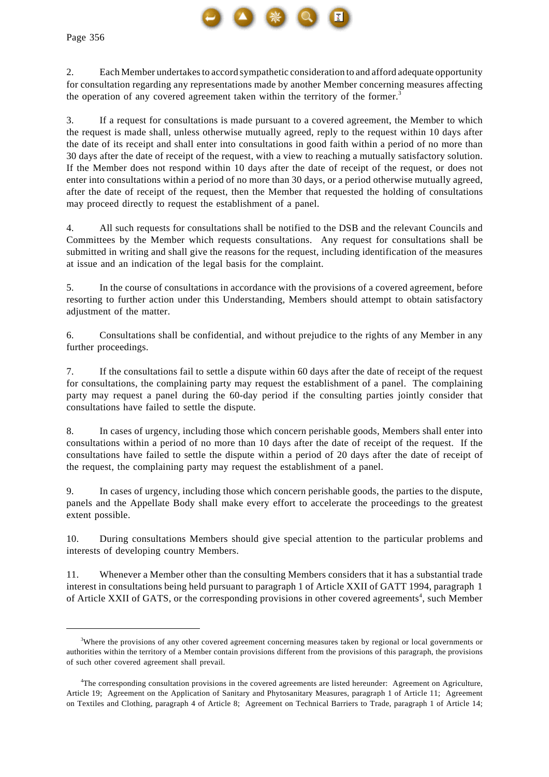2. Each Member undertakes to accord sympathetic consideration to and afford adequate opportunity for consultation regarding any representations made by another Member concerning measures affecting the operation of any covered agreement taken within the territory of the former.<sup>3</sup>

3. If a request for consultations is made pursuant to a covered agreement, the Member to which the request is made shall, unless otherwise mutually agreed, reply to the request within 10 days after the date of its receipt and shall enter into consultations in good faith within a period of no more than 30 days after the date of receipt of the request, with a view to reaching a mutually satisfactory solution. If the Member does not respond within 10 days after the date of receipt of the request, or does not enter into consultations within a period of no more than 30 days, or a period otherwise mutually agreed, after the date of receipt of the request, then the Member that requested the holding of consultations may proceed directly to request the establishment of a panel.

4. All such requests for consultations shall be notified to the DSB and the relevant Councils and Committees by the Member which requests consultations. Any request for consultations shall be submitted in writing and shall give the reasons for the request, including identification of the measures at issue and an indication of the legal basis for the complaint.

5. In the course of consultations in accordance with the provisions of a covered agreement, before resorting to further action under this Understanding, Members should attempt to obtain satisfactory adjustment of the matter.

6. Consultations shall be confidential, and without prejudice to the rights of any Member in any further proceedings.

7. If the consultations fail to settle a dispute within 60 days after the date of receipt of the request for consultations, the complaining party may request the establishment of a panel. The complaining party may request a panel during the 60-day period if the consulting parties jointly consider that consultations have failed to settle the dispute.

8. In cases of urgency, including those which concern perishable goods, Members shall enter into consultations within a period of no more than 10 days after the date of receipt of the request. If the consultations have failed to settle the dispute within a period of 20 days after the date of receipt of the request, the complaining party may request the establishment of a panel.

9. In cases of urgency, including those which concern perishable goods, the parties to the dispute, panels and the Appellate Body shall make every effort to accelerate the proceedings to the greatest extent possible.

10. During consultations Members should give special attention to the particular problems and interests of developing country Members.

11. Whenever a Member other than the consulting Members considers that it has a substantial trade interest in consultations being held pursuant to paragraph 1 of Article XXII of GATT 1994, paragraph 1 of Article XXII of GATS, or the corresponding provisions in other covered agreements<sup>4</sup>, such Member

<sup>&</sup>lt;sup>3</sup>Where the provisions of any other covered agreement concerning measures taken by regional or local governments or authorities within the territory of a Member contain provisions different from the provisions of this paragraph, the provisions of such other covered agreement shall prevail.

<sup>&</sup>lt;sup>4</sup>The corresponding consultation provisions in the covered agreements are listed hereunder: Agreement on Agriculture, Article 19; Agreement on the Application of Sanitary and Phytosanitary Measures, paragraph 1 of Article 11; Agreement on Textiles and Clothing, paragraph 4 of Article 8; Agreement on Technical Barriers to Trade, paragraph 1 of Article 14;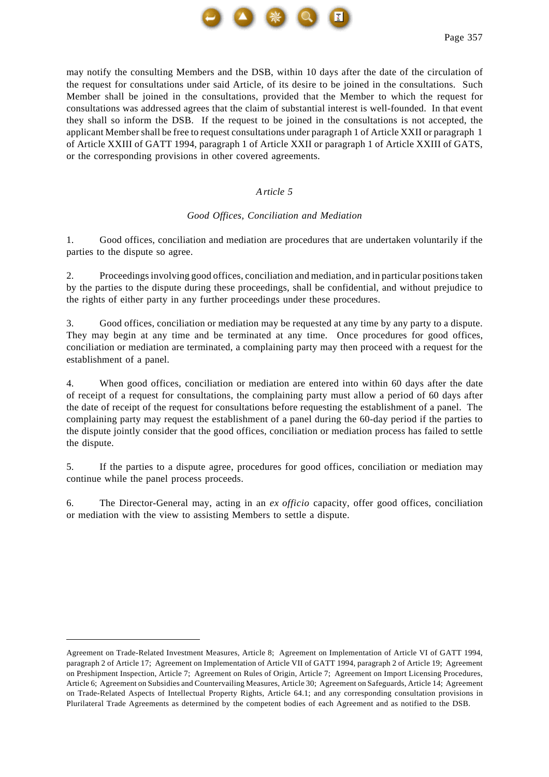may notify the consulting Members and the DSB, within 10 days after the date of the circulation of the request for consultations under said Article, of its desire to be joined in the consultations. Such Member shall be joined in the consultations, provided that the Member to which the request for consultations was addressed agrees that the claim of substantial interest is well-founded. In that event they shall so inform the DSB. If the request to be joined in the consultations is not accepted, the applicant Member shall be free to request consultations under paragraph 1 of Article XXII or paragraph 1 of Article XXIII of GATT 1994, paragraph 1 of Article XXII or paragraph 1 of Article XXIII of GATS, or the corresponding provisions in other covered agreements.

## *Article 5*

## *Good Offices, Conciliation and Mediation*

1. Good offices, conciliation and mediation are procedures that are undertaken voluntarily if the parties to the dispute so agree.

2. Proceedings involving good offices, conciliation and mediation, and in particular positions taken by the parties to the dispute during these proceedings, shall be confidential, and without prejudice to the rights of either party in any further proceedings under these procedures.

3. Good offices, conciliation or mediation may be requested at any time by any party to a dispute. They may begin at any time and be terminated at any time. Once procedures for good offices, conciliation or mediation are terminated, a complaining party may then proceed with a request for the establishment of a panel.

4. When good offices, conciliation or mediation are entered into within 60 days after the date of receipt of a request for consultations, the complaining party must allow a period of 60 days after the date of receipt of the request for consultations before requesting the establishment of a panel. The complaining party may request the establishment of a panel during the 60-day period if the parties to the dispute jointly consider that the good offices, conciliation or mediation process has failed to settle the dispute.

5. If the parties to a dispute agree, procedures for good offices, conciliation or mediation may continue while the panel process proceeds.

6. The Director-General may, acting in an *ex officio* capacity, offer good offices, conciliation or mediation with the view to assisting Members to settle a dispute.

l

Agreement on Trade-Related Investment Measures, Article 8; Agreement on Implementation of Article VI of GATT 1994, paragraph 2 of Article 17; Agreement on Implementation of Article VII of GATT 1994, paragraph 2 of Article 19; Agreement on Preshipment Inspection, Article 7; Agreement on Rules of Origin, Article 7; Agreement on Import Licensing Procedures, Article 6; Agreement on Subsidies and Countervailing Measures, Article 30; Agreement on Safeguards, Article 14; Agreement on Trade-Related Aspects of Intellectual Property Rights, Article 64.1; and any corresponding consultation provisions in Plurilateral Trade Agreements as determined by the competent bodies of each Agreement and as notified to the DSB.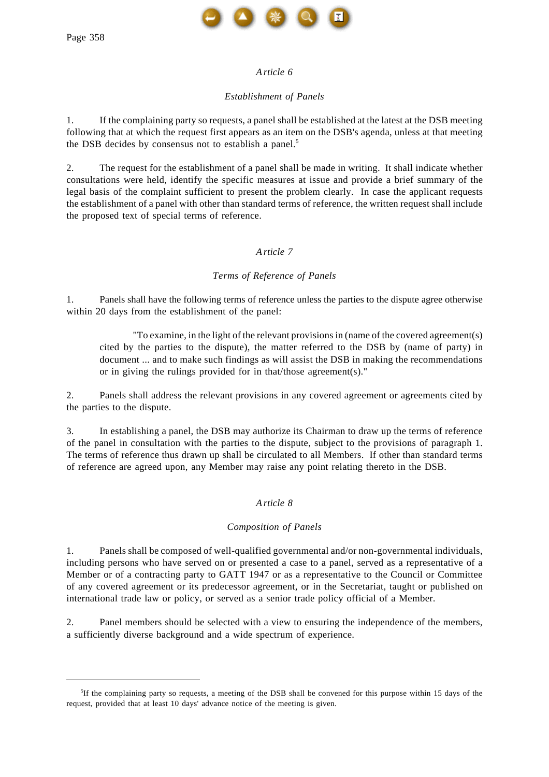### *Establishment of Panels*

1. If the complaining party so requests, a panel shall be established at the latest at the DSB meeting following that at which the request first appears as an item on the DSB's agenda, unless at that meeting the DSB decides by consensus not to establish a panel.<sup>5</sup>

2. The request for the establishment of a panel shall be made in writing. It shall indicate whether consultations were held, identify the specific measures at issue and provide a brief summary of the legal basis of the complaint sufficient to present the problem clearly. In case the applicant requests the establishment of a panel with other than standard terms of reference, the written request shall include the proposed text of special terms of reference.

## *Article 7*

## *Terms of Reference of Panels*

1. Panels shall have the following terms of reference unless the parties to the dispute agree otherwise within 20 days from the establishment of the panel:

"To examine, in the light of the relevant provisions in (name of the covered agreement(s) cited by the parties to the dispute), the matter referred to the DSB by (name of party) in document ... and to make such findings as will assist the DSB in making the recommendations or in giving the rulings provided for in that/those agreement(s)."

2. Panels shall address the relevant provisions in any covered agreement or agreements cited by the parties to the dispute.

3. In establishing a panel, the DSB may authorize its Chairman to draw up the terms of reference of the panel in consultation with the parties to the dispute, subject to the provisions of paragraph 1. The terms of reference thus drawn up shall be circulated to all Members. If other than standard terms of reference are agreed upon, any Member may raise any point relating thereto in the DSB.

## *Article 8*

### *Composition of Panels*

1. Panels shall be composed of well-qualified governmental and/or non-governmental individuals, including persons who have served on or presented a case to a panel, served as a representative of a Member or of a contracting party to GATT 1947 or as a representative to the Council or Committee of any covered agreement or its predecessor agreement, or in the Secretariat, taught or published on international trade law or policy, or served as a senior trade policy official of a Member.

2. Panel members should be selected with a view to ensuring the independence of the members, a sufficiently diverse background and a wide spectrum of experience.

<sup>5</sup> If the complaining party so requests, a meeting of the DSB shall be convened for this purpose within 15 days of the request, provided that at least 10 days' advance notice of the meeting is given.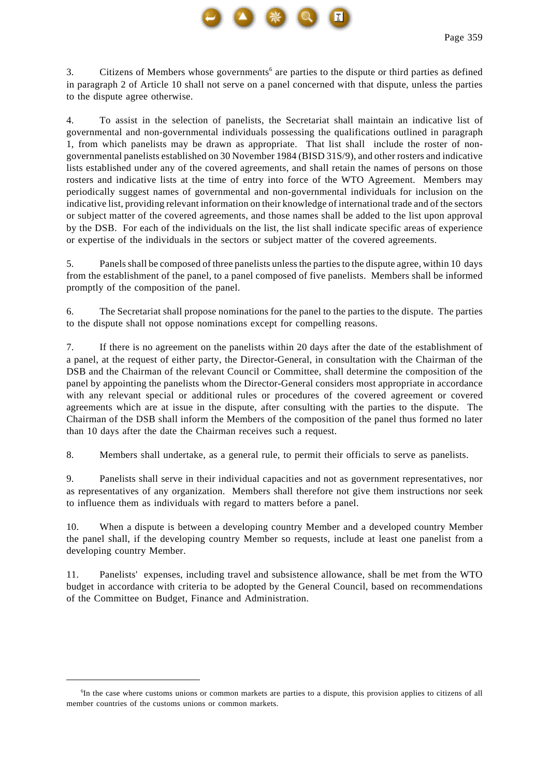3. Citizens of Members whose governments<sup>6</sup> are parties to the dispute or third parties as defined in paragraph 2 of Article 10 shall not serve on a panel concerned with that dispute, unless the parties to the dispute agree otherwise.

4. To assist in the selection of panelists, the Secretariat shall maintain an indicative list of governmental and non-governmental individuals possessing the qualifications outlined in paragraph 1, from which panelists may be drawn as appropriate. That list shall include the roster of nongovernmental panelists established on 30 November 1984 (BISD 31S/9), and other rosters and indicative lists established under any of the covered agreements, and shall retain the names of persons on those rosters and indicative lists at the time of entry into force of the WTO Agreement. Members may periodically suggest names of governmental and non-governmental individuals for inclusion on the indicative list, providing relevant information on their knowledge of international trade and of the sectors or subject matter of the covered agreements, and those names shall be added to the list upon approval by the DSB. For each of the individuals on the list, the list shall indicate specific areas of experience or expertise of the individuals in the sectors or subject matter of the covered agreements.

5. Panels shall be composed of three panelists unless the parties to the dispute agree, within 10 days from the establishment of the panel, to a panel composed of five panelists. Members shall be informed promptly of the composition of the panel.

6. The Secretariat shall propose nominations for the panel to the parties to the dispute. The parties to the dispute shall not oppose nominations except for compelling reasons.

7. If there is no agreement on the panelists within 20 days after the date of the establishment of a panel, at the request of either party, the Director-General, in consultation with the Chairman of the DSB and the Chairman of the relevant Council or Committee, shall determine the composition of the panel by appointing the panelists whom the Director-General considers most appropriate in accordance with any relevant special or additional rules or procedures of the covered agreement or covered agreements which are at issue in the dispute, after consulting with the parties to the dispute. The Chairman of the DSB shall inform the Members of the composition of the panel thus formed no later than 10 days after the date the Chairman receives such a request.

8. Members shall undertake, as a general rule, to permit their officials to serve as panelists.

9. Panelists shall serve in their individual capacities and not as government representatives, nor as representatives of any organization. Members shall therefore not give them instructions nor seek to influence them as individuals with regard to matters before a panel.

10. When a dispute is between a developing country Member and a developed country Member the panel shall, if the developing country Member so requests, include at least one panelist from a developing country Member.

11. Panelists' expenses, including travel and subsistence allowance, shall be met from the WTO budget in accordance with criteria to be adopted by the General Council, based on recommendations of the Committee on Budget, Finance and Administration.

<sup>6</sup> In the case where customs unions or common markets are parties to a dispute, this provision applies to citizens of all member countries of the customs unions or common markets.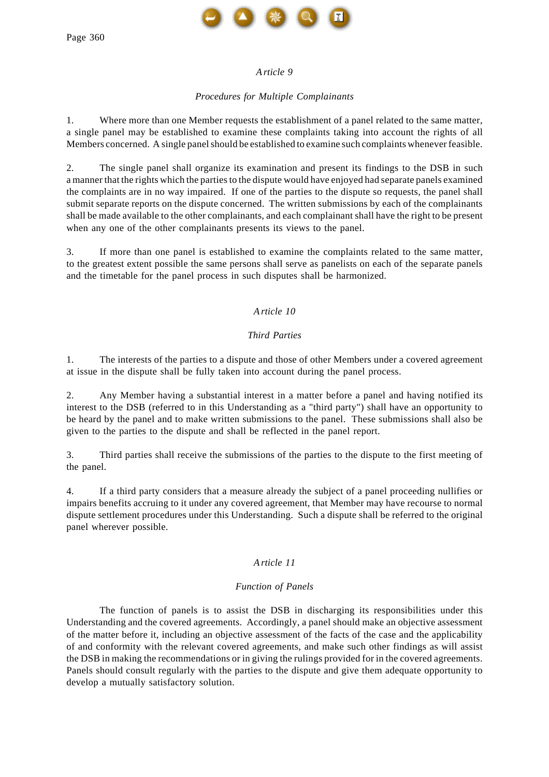### *Procedures for Multiple Complainants*

1. Where more than one Member requests the establishment of a panel related to the same matter, a single panel may be established to examine these complaints taking into account the rights of all Members concerned. A single panel should be established to examine such complaints whenever feasible.

2. The single panel shall organize its examination and present its findings to the DSB in such a manner that the rights which the parties to the dispute would have enjoyed had separate panels examined the complaints are in no way impaired. If one of the parties to the dispute so requests, the panel shall submit separate reports on the dispute concerned. The written submissions by each of the complainants shall be made available to the other complainants, and each complainant shall have the right to be present when any one of the other complainants presents its views to the panel.

3. If more than one panel is established to examine the complaints related to the same matter, to the greatest extent possible the same persons shall serve as panelists on each of the separate panels and the timetable for the panel process in such disputes shall be harmonized.

### *Article 10*

## *Third Parties*

1. The interests of the parties to a dispute and those of other Members under a covered agreement at issue in the dispute shall be fully taken into account during the panel process.

2. Any Member having a substantial interest in a matter before a panel and having notified its interest to the DSB (referred to in this Understanding as a "third party") shall have an opportunity to be heard by the panel and to make written submissions to the panel. These submissions shall also be given to the parties to the dispute and shall be reflected in the panel report.

3. Third parties shall receive the submissions of the parties to the dispute to the first meeting of the panel.

4. If a third party considers that a measure already the subject of a panel proceeding nullifies or impairs benefits accruing to it under any covered agreement, that Member may have recourse to normal dispute settlement procedures under this Understanding. Such a dispute shall be referred to the original panel wherever possible.

### *Article 11*

### *Function of Panels*

The function of panels is to assist the DSB in discharging its responsibilities under this Understanding and the covered agreements. Accordingly, a panel should make an objective assessment of the matter before it, including an objective assessment of the facts of the case and the applicability of and conformity with the relevant covered agreements, and make such other findings as will assist the DSB in making the recommendations or in giving the rulings provided for in the covered agreements. Panels should consult regularly with the parties to the dispute and give them adequate opportunity to develop a mutually satisfactory solution.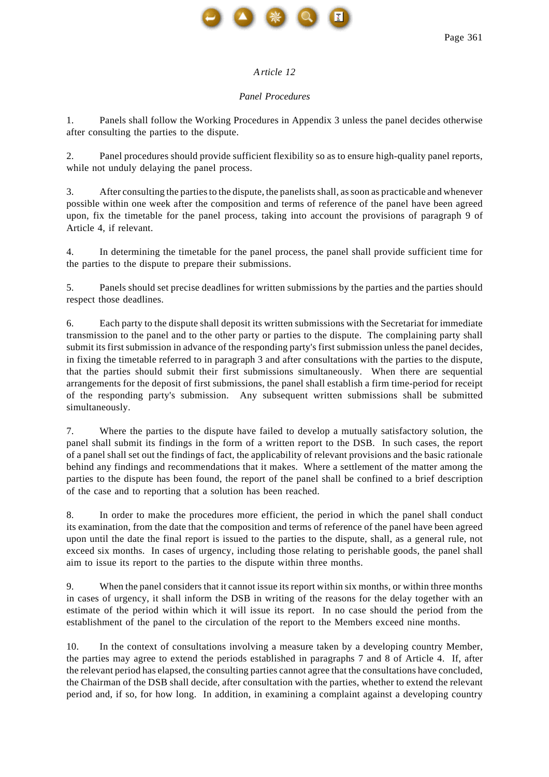## *Panel Procedures*

1. Panels shall follow the Working Procedures in Appendix 3 unless the panel decides otherwise after consulting the parties to the dispute.

2. Panel procedures should provide sufficient flexibility so as to ensure high-quality panel reports, while not unduly delaying the panel process.

3. After consulting the parties to the dispute, the panelists shall, as soon as practicable and whenever possible within one week after the composition and terms of reference of the panel have been agreed upon, fix the timetable for the panel process, taking into account the provisions of paragraph 9 of Article 4, if relevant.

4. In determining the timetable for the panel process, the panel shall provide sufficient time for the parties to the dispute to prepare their submissions.

5. Panels should set precise deadlines for written submissions by the parties and the parties should respect those deadlines.

6. Each party to the dispute shall deposit its written submissions with the Secretariat for immediate transmission to the panel and to the other party or parties to the dispute. The complaining party shall submit its first submission in advance of the responding party's first submission unless the panel decides, in fixing the timetable referred to in paragraph 3 and after consultations with the parties to the dispute, that the parties should submit their first submissions simultaneously. When there are sequential arrangements for the deposit of first submissions, the panel shall establish a firm time-period for receipt of the responding party's submission. Any subsequent written submissions shall be submitted simultaneously.

7. Where the parties to the dispute have failed to develop a mutually satisfactory solution, the panel shall submit its findings in the form of a written report to the DSB. In such cases, the report of a panel shall set out the findings of fact, the applicability of relevant provisions and the basic rationale behind any findings and recommendations that it makes. Where a settlement of the matter among the parties to the dispute has been found, the report of the panel shall be confined to a brief description of the case and to reporting that a solution has been reached.

8. In order to make the procedures more efficient, the period in which the panel shall conduct its examination, from the date that the composition and terms of reference of the panel have been agreed upon until the date the final report is issued to the parties to the dispute, shall, as a general rule, not exceed six months. In cases of urgency, including those relating to perishable goods, the panel shall aim to issue its report to the parties to the dispute within three months.

9. When the panel considers that it cannot issue its report within six months, or within three months in cases of urgency, it shall inform the DSB in writing of the reasons for the delay together with an estimate of the period within which it will issue its report. In no case should the period from the establishment of the panel to the circulation of the report to the Members exceed nine months.

10. In the context of consultations involving a measure taken by a developing country Member, the parties may agree to extend the periods established in paragraphs 7 and 8 of Article 4. If, after the relevant period has elapsed, the consulting parties cannot agree that the consultations have concluded, the Chairman of the DSB shall decide, after consultation with the parties, whether to extend the relevant period and, if so, for how long. In addition, in examining a complaint against a developing country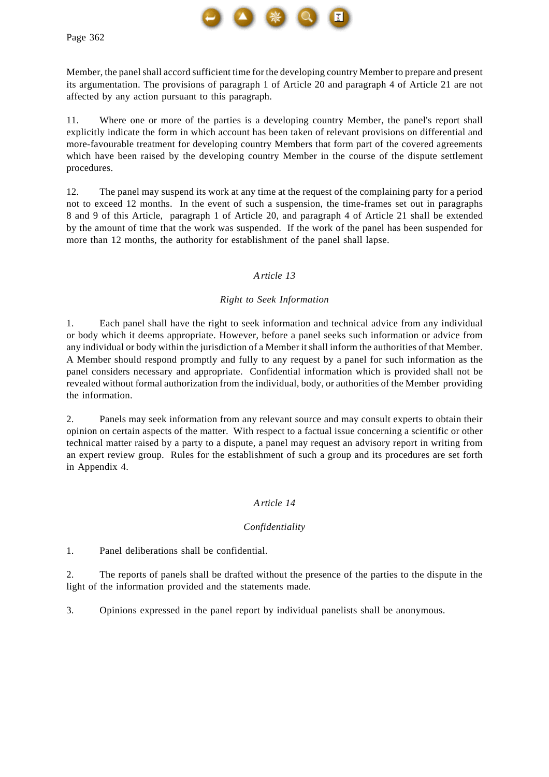Member, the panel shall accord sufficient time for the developing country Member to prepare and present its argumentation. The provisions of paragraph 1 of Article 20 and paragraph 4 of Article 21 are not affected by any action pursuant to this paragraph.

11. Where one or more of the parties is a developing country Member, the panel's report shall explicitly indicate the form in which account has been taken of relevant provisions on differential and more-favourable treatment for developing country Members that form part of the covered agreements which have been raised by the developing country Member in the course of the dispute settlement procedures.

12. The panel may suspend its work at any time at the request of the complaining party for a period not to exceed 12 months. In the event of such a suspension, the time-frames set out in paragraphs 8 and 9 of this Article, paragraph 1 of Article 20, and paragraph 4 of Article 21 shall be extended by the amount of time that the work was suspended. If the work of the panel has been suspended for more than 12 months, the authority for establishment of the panel shall lapse.

## *Article 13*

### *Right to Seek Information*

1. Each panel shall have the right to seek information and technical advice from any individual or body which it deems appropriate. However, before a panel seeks such information or advice from any individual or body within the jurisdiction of a Member it shall inform the authorities of that Member. A Member should respond promptly and fully to any request by a panel for such information as the panel considers necessary and appropriate. Confidential information which is provided shall not be revealed without formal authorization from the individual, body, or authorities of the Member providing the information.

2. Panels may seek information from any relevant source and may consult experts to obtain their opinion on certain aspects of the matter. With respect to a factual issue concerning a scientific or other technical matter raised by a party to a dispute, a panel may request an advisory report in writing from an expert review group. Rules for the establishment of such a group and its procedures are set forth in Appendix 4.

## *Article 14*

## *Confidentiality*

1. Panel deliberations shall be confidential.

2. The reports of panels shall be drafted without the presence of the parties to the dispute in the light of the information provided and the statements made.

3. Opinions expressed in the panel report by individual panelists shall be anonymous.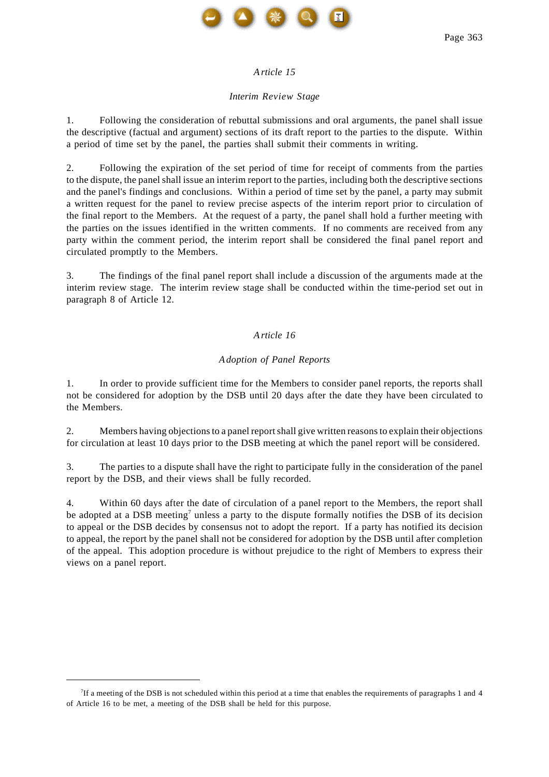## *Interim Review Stage*

1. Following the consideration of rebuttal submissions and oral arguments, the panel shall issue the descriptive (factual and argument) sections of its draft report to the parties to the dispute. Within a period of time set by the panel, the parties shall submit their comments in writing.

2. Following the expiration of the set period of time for receipt of comments from the parties to the dispute, the panel shall issue an interim report to the parties, including both the descriptive sections and the panel's findings and conclusions. Within a period of time set by the panel, a party may submit a written request for the panel to review precise aspects of the interim report prior to circulation of the final report to the Members. At the request of a party, the panel shall hold a further meeting with the parties on the issues identified in the written comments. If no comments are received from any party within the comment period, the interim report shall be considered the final panel report and circulated promptly to the Members.

3. The findings of the final panel report shall include a discussion of the arguments made at the interim review stage. The interim review stage shall be conducted within the time-period set out in paragraph 8 of Article 12.

## *Article 16*

## *Adoption of Panel Reports*

1. In order to provide sufficient time for the Members to consider panel reports, the reports shall not be considered for adoption by the DSB until 20 days after the date they have been circulated to the Members.

2. Members having objections to a panel report shall give written reasons to explain their objections for circulation at least 10 days prior to the DSB meeting at which the panel report will be considered.

3. The parties to a dispute shall have the right to participate fully in the consideration of the panel report by the DSB, and their views shall be fully recorded.

4. Within 60 days after the date of circulation of a panel report to the Members, the report shall be adopted at a DSB meeting<sup>7</sup> unless a party to the dispute formally notifies the DSB of its decision to appeal or the DSB decides by consensus not to adopt the report. If a party has notified its decision to appeal, the report by the panel shall not be considered for adoption by the DSB until after completion of the appeal. This adoption procedure is without prejudice to the right of Members to express their views on a panel report.

<sup>7</sup> If a meeting of the DSB is not scheduled within this period at a time that enables the requirements of paragraphs 1 and 4 of Article 16 to be met, a meeting of the DSB shall be held for this purpose.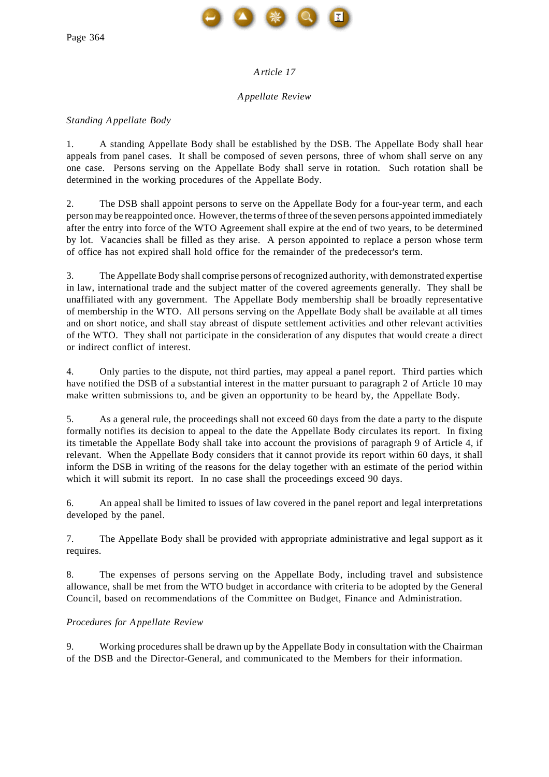## *Appellate Review*

# *Standing Appellate Body*

1. A standing Appellate Body shall be established by the DSB. The Appellate Body shall hear appeals from panel cases. It shall be composed of seven persons, three of whom shall serve on any one case. Persons serving on the Appellate Body shall serve in rotation. Such rotation shall be determined in the working procedures of the Appellate Body.

2. The DSB shall appoint persons to serve on the Appellate Body for a four-year term, and each person may be reappointed once. However, the terms of three of the seven persons appointed immediately after the entry into force of the WTO Agreement shall expire at the end of two years, to be determined by lot. Vacancies shall be filled as they arise. A person appointed to replace a person whose term of office has not expired shall hold office for the remainder of the predecessor's term.

3. The Appellate Body shall comprise persons of recognized authority, with demonstrated expertise in law, international trade and the subject matter of the covered agreements generally. They shall be unaffiliated with any government. The Appellate Body membership shall be broadly representative of membership in the WTO. All persons serving on the Appellate Body shall be available at all times and on short notice, and shall stay abreast of dispute settlement activities and other relevant activities of the WTO. They shall not participate in the consideration of any disputes that would create a direct or indirect conflict of interest.

4. Only parties to the dispute, not third parties, may appeal a panel report. Third parties which have notified the DSB of a substantial interest in the matter pursuant to paragraph 2 of Article 10 may make written submissions to, and be given an opportunity to be heard by, the Appellate Body.

5. As a general rule, the proceedings shall not exceed 60 days from the date a party to the dispute formally notifies its decision to appeal to the date the Appellate Body circulates its report. In fixing its timetable the Appellate Body shall take into account the provisions of paragraph 9 of Article 4, if relevant. When the Appellate Body considers that it cannot provide its report within 60 days, it shall inform the DSB in writing of the reasons for the delay together with an estimate of the period within which it will submit its report. In no case shall the proceedings exceed 90 days.

6. An appeal shall be limited to issues of law covered in the panel report and legal interpretations developed by the panel.

7. The Appellate Body shall be provided with appropriate administrative and legal support as it requires.

8. The expenses of persons serving on the Appellate Body, including travel and subsistence allowance, shall be met from the WTO budget in accordance with criteria to be adopted by the General Council, based on recommendations of the Committee on Budget, Finance and Administration.

# *Procedures for Appellate Review*

9. Working procedures shall be drawn up by the Appellate Body in consultation with the Chairman of the DSB and the Director-General, and communicated to the Members for their information.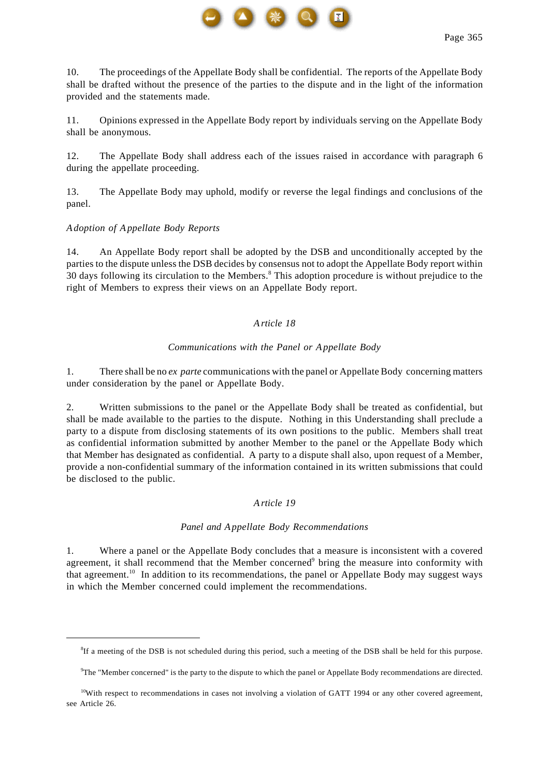10. The proceedings of the Appellate Body shall be confidential. The reports of the Appellate Body shall be drafted without the presence of the parties to the dispute and in the light of the information provided and the statements made.

11. Opinions expressed in the Appellate Body report by individuals serving on the Appellate Body shall be anonymous.

12. The Appellate Body shall address each of the issues raised in accordance with paragraph 6 during the appellate proceeding.

13. The Appellate Body may uphold, modify or reverse the legal findings and conclusions of the panel.

### *Adoption of Appellate Body Reports*

 $\overline{a}$ 

14. An Appellate Body report shall be adopted by the DSB and unconditionally accepted by the parties to the dispute unless the DSB decides by consensus not to adopt the Appellate Body report within 30 days following its circulation to the Members.<sup>8</sup> This adoption procedure is without prejudice to the right of Members to express their views on an Appellate Body report.

## *Article 18*

### *Communications with the Panel or Appellate Body*

1. There shall be no *ex parte* communications with the panel or Appellate Body concerning matters under consideration by the panel or Appellate Body.

2. Written submissions to the panel or the Appellate Body shall be treated as confidential, but shall be made available to the parties to the dispute. Nothing in this Understanding shall preclude a party to a dispute from disclosing statements of its own positions to the public. Members shall treat as confidential information submitted by another Member to the panel or the Appellate Body which that Member has designated as confidential. A party to a dispute shall also, upon request of a Member, provide a non-confidential summary of the information contained in its written submissions that could be disclosed to the public.

## *Article 19*

### *Panel and Appellate Body Recommendations*

1. Where a panel or the Appellate Body concludes that a measure is inconsistent with a covered agreement, it shall recommend that the Member concerned<sup>9</sup> bring the measure into conformity with that agreement.<sup>10</sup> In addition to its recommendations, the panel or Appellate Body may suggest ways in which the Member concerned could implement the recommendations.

<sup>&</sup>lt;sup>8</sup>If a meeting of the DSB is not scheduled during this period, such a meeting of the DSB shall be held for this purpose.

 $^{9}$ The "Member concerned" is the party to the dispute to which the panel or Appellate Body recommendations are directed.

<sup>&</sup>lt;sup>10</sup>With respect to recommendations in cases not involving a violation of GATT 1994 or any other covered agreement, see Article 26.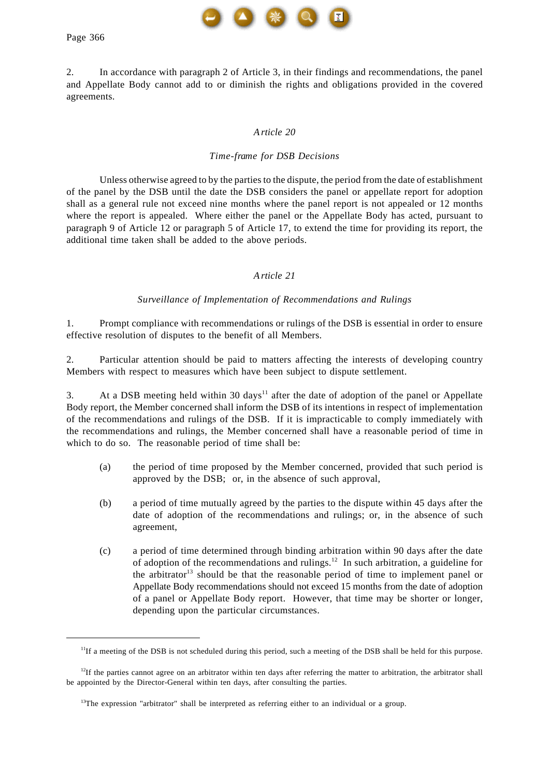2. In accordance with paragraph 2 of Article 3, in their findings and recommendations, the panel and Appellate Body cannot add to or diminish the rights and obligations provided in the covered agreements.

### *Article 20*

### *Time-frame for DSB Decisions*

Unless otherwise agreed to by the parties to the dispute, the period from the date of establishment of the panel by the DSB until the date the DSB considers the panel or appellate report for adoption shall as a general rule not exceed nine months where the panel report is not appealed or 12 months where the report is appealed. Where either the panel or the Appellate Body has acted, pursuant to paragraph 9 of Article 12 or paragraph 5 of Article 17, to extend the time for providing its report, the additional time taken shall be added to the above periods.

## *Article 21*

## *Surveillance of Implementation of Recommendations and Rulings*

1. Prompt compliance with recommendations or rulings of the DSB is essential in order to ensure effective resolution of disputes to the benefit of all Members.

2. Particular attention should be paid to matters affecting the interests of developing country Members with respect to measures which have been subject to dispute settlement.

3. At a DSB meeting held within 30 days<sup>11</sup> after the date of adoption of the panel or Appellate Body report, the Member concerned shall inform the DSB of its intentions in respect of implementation of the recommendations and rulings of the DSB. If it is impracticable to comply immediately with the recommendations and rulings, the Member concerned shall have a reasonable period of time in which to do so. The reasonable period of time shall be:

- (a) the period of time proposed by the Member concerned, provided that such period is approved by the DSB; or, in the absence of such approval,
- (b) a period of time mutually agreed by the parties to the dispute within 45 days after the date of adoption of the recommendations and rulings; or, in the absence of such agreement,
- (c) a period of time determined through binding arbitration within 90 days after the date of adoption of the recommendations and rulings.<sup>12</sup> In such arbitration, a guideline for the arbitrator<sup>13</sup> should be that the reasonable period of time to implement panel or Appellate Body recommendations should not exceed 15 months from the date of adoption of a panel or Appellate Body report. However, that time may be shorter or longer, depending upon the particular circumstances.

 $11$ If a meeting of the DSB is not scheduled during this period, such a meeting of the DSB shall be held for this purpose.

 $12$ If the parties cannot agree on an arbitrator within ten days after referring the matter to arbitration, the arbitrator shall be appointed by the Director-General within ten days, after consulting the parties.

 $13$ The expression "arbitrator" shall be interpreted as referring either to an individual or a group.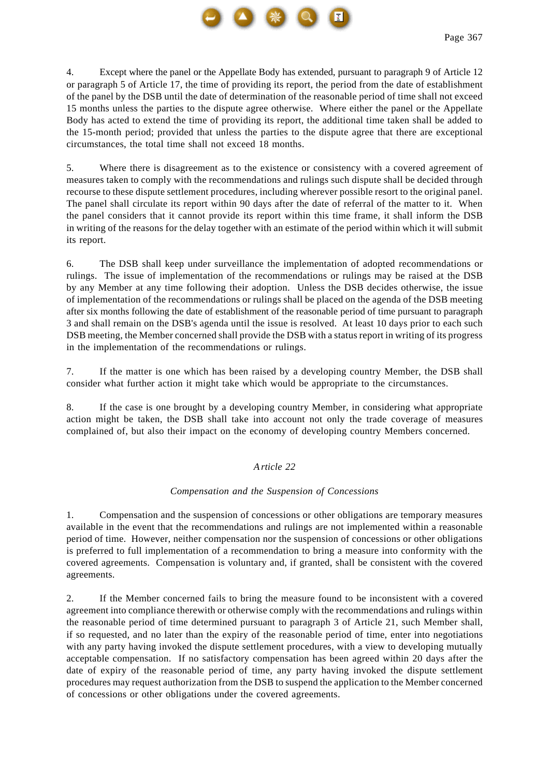4. Except where the panel or the Appellate Body has extended, pursuant to paragraph 9 of Article 12 or paragraph 5 of Article 17, the time of providing its report, the period from the date of establishment of the panel by the DSB until the date of determination of the reasonable period of time shall not exceed 15 months unless the parties to the dispute agree otherwise. Where either the panel or the Appellate Body has acted to extend the time of providing its report, the additional time taken shall be added to the 15-month period; provided that unless the parties to the dispute agree that there are exceptional circumstances, the total time shall not exceed 18 months.

5. Where there is disagreement as to the existence or consistency with a covered agreement of measures taken to comply with the recommendations and rulings such dispute shall be decided through recourse to these dispute settlement procedures, including wherever possible resort to the original panel. The panel shall circulate its report within 90 days after the date of referral of the matter to it. When the panel considers that it cannot provide its report within this time frame, it shall inform the DSB in writing of the reasons for the delay together with an estimate of the period within which it will submit its report.

6. The DSB shall keep under surveillance the implementation of adopted recommendations or rulings. The issue of implementation of the recommendations or rulings may be raised at the DSB by any Member at any time following their adoption. Unless the DSB decides otherwise, the issue of implementation of the recommendations or rulings shall be placed on the agenda of the DSB meeting after six months following the date of establishment of the reasonable period of time pursuant to paragraph 3 and shall remain on the DSB's agenda until the issue is resolved. At least 10 days prior to each such DSB meeting, the Member concerned shall provide the DSB with a status report in writing of its progress in the implementation of the recommendations or rulings.

7. If the matter is one which has been raised by a developing country Member, the DSB shall consider what further action it might take which would be appropriate to the circumstances.

8. If the case is one brought by a developing country Member, in considering what appropriate action might be taken, the DSB shall take into account not only the trade coverage of measures complained of, but also their impact on the economy of developing country Members concerned.

## *Article 22*

### *Compensation and the Suspension of Concessions*

1. Compensation and the suspension of concessions or other obligations are temporary measures available in the event that the recommendations and rulings are not implemented within a reasonable period of time. However, neither compensation nor the suspension of concessions or other obligations is preferred to full implementation of a recommendation to bring a measure into conformity with the covered agreements. Compensation is voluntary and, if granted, shall be consistent with the covered agreements.

2. If the Member concerned fails to bring the measure found to be inconsistent with a covered agreement into compliance therewith or otherwise comply with the recommendations and rulings within the reasonable period of time determined pursuant to paragraph 3 of Article 21, such Member shall, if so requested, and no later than the expiry of the reasonable period of time, enter into negotiations with any party having invoked the dispute settlement procedures, with a view to developing mutually acceptable compensation. If no satisfactory compensation has been agreed within 20 days after the date of expiry of the reasonable period of time, any party having invoked the dispute settlement procedures may request authorization from the DSB to suspend the application to the Member concerned of concessions or other obligations under the covered agreements.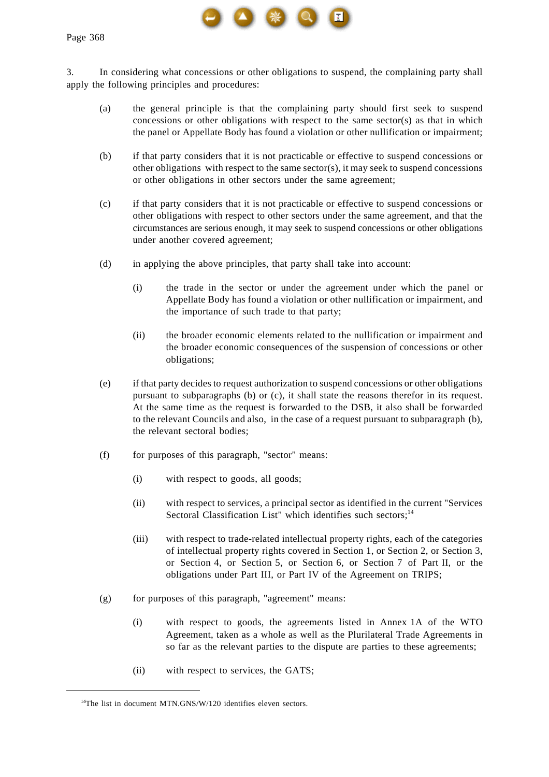3. In considering what concessions or other obligations to suspend, the complaining party shall apply the following principles and procedures:

- (a) the general principle is that the complaining party should first seek to suspend concessions or other obligations with respect to the same sector(s) as that in which the panel or Appellate Body has found a violation or other nullification or impairment;
- (b) if that party considers that it is not practicable or effective to suspend concessions or other obligations with respect to the same sector(s), it may seek to suspend concessions or other obligations in other sectors under the same agreement;
- (c) if that party considers that it is not practicable or effective to suspend concessions or other obligations with respect to other sectors under the same agreement, and that the circumstances are serious enough, it may seek to suspend concessions or other obligations under another covered agreement;
- (d) in applying the above principles, that party shall take into account:
	- (i) the trade in the sector or under the agreement under which the panel or Appellate Body has found a violation or other nullification or impairment, and the importance of such trade to that party;
	- (ii) the broader economic elements related to the nullification or impairment and the broader economic consequences of the suspension of concessions or other obligations;
- (e) if that party decides to request authorization to suspend concessions or other obligations pursuant to subparagraphs (b) or (c), it shall state the reasons therefor in its request. At the same time as the request is forwarded to the DSB, it also shall be forwarded to the relevant Councils and also, in the case of a request pursuant to subparagraph (b), the relevant sectoral bodies;
- (f) for purposes of this paragraph, "sector" means:
	- (i) with respect to goods, all goods;
	- (ii) with respect to services, a principal sector as identified in the current "Services Sectoral Classification List" which identifies such sectors; $14$
	- (iii) with respect to trade-related intellectual property rights, each of the categories of intellectual property rights covered in Section 1, or Section 2, or Section 3, or Section 4, or Section 5, or Section 6, or Section 7 of Part II, or the obligations under Part III, or Part IV of the Agreement on TRIPS;
- (g) for purposes of this paragraph, "agreement" means:
	- (i) with respect to goods, the agreements listed in Annex 1A of the WTO Agreement, taken as a whole as well as the Plurilateral Trade Agreements in so far as the relevant parties to the dispute are parties to these agreements;
	- (ii) with respect to services, the GATS;

 $14$ The list in document MTN.GNS/W/120 identifies eleven sectors.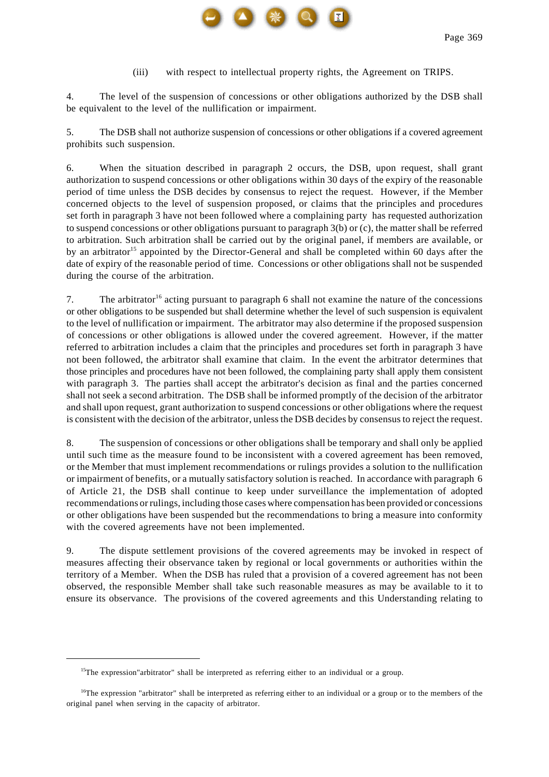(iii) with respect to intellectual property rights, the Agreement on TRIPS.

4. The level of the suspension of concessions or other obligations authorized by the DSB shall be equivalent to the level of the nullification or impairment.

5. The DSB shall not authorize suspension of concessions or other obligations if a covered agreement prohibits such suspension.

6. When the situation described in paragraph 2 occurs, the DSB, upon request, shall grant authorization to suspend concessions or other obligations within 30 days of the expiry of the reasonable period of time unless the DSB decides by consensus to reject the request. However, if the Member concerned objects to the level of suspension proposed, or claims that the principles and procedures set forth in paragraph 3 have not been followed where a complaining party has requested authorization to suspend concessions or other obligations pursuant to paragraph 3(b) or (c), the matter shall be referred to arbitration. Such arbitration shall be carried out by the original panel, if members are available, or by an arbitrator<sup>15</sup> appointed by the Director-General and shall be completed within 60 days after the date of expiry of the reasonable period of time. Concessions or other obligations shall not be suspended during the course of the arbitration.

7. The arbitrator<sup>16</sup> acting pursuant to paragraph 6 shall not examine the nature of the concessions or other obligations to be suspended but shall determine whether the level of such suspension is equivalent to the level of nullification or impairment. The arbitrator may also determine if the proposed suspension of concessions or other obligations is allowed under the covered agreement. However, if the matter referred to arbitration includes a claim that the principles and procedures set forth in paragraph 3 have not been followed, the arbitrator shall examine that claim. In the event the arbitrator determines that those principles and procedures have not been followed, the complaining party shall apply them consistent with paragraph 3. The parties shall accept the arbitrator's decision as final and the parties concerned shall not seek a second arbitration. The DSB shall be informed promptly of the decision of the arbitrator and shall upon request, grant authorization to suspend concessions or other obligations where the request is consistent with the decision of the arbitrator, unless the DSB decides by consensus to reject the request.

8. The suspension of concessions or other obligations shall be temporary and shall only be applied until such time as the measure found to be inconsistent with a covered agreement has been removed, or the Member that must implement recommendations or rulings provides a solution to the nullification or impairment of benefits, or a mutually satisfactory solution is reached. In accordance with paragraph 6 of Article 21, the DSB shall continue to keep under surveillance the implementation of adopted recommendations or rulings, including those cases where compensation has been provided or concessions or other obligations have been suspended but the recommendations to bring a measure into conformity with the covered agreements have not been implemented.

9. The dispute settlement provisions of the covered agreements may be invoked in respect of measures affecting their observance taken by regional or local governments or authorities within the territory of a Member. When the DSB has ruled that a provision of a covered agreement has not been observed, the responsible Member shall take such reasonable measures as may be available to it to ensure its observance. The provisions of the covered agreements and this Understanding relating to

<sup>&</sup>lt;sup>15</sup>The expression"arbitrator" shall be interpreted as referring either to an individual or a group.

 $16$ The expression "arbitrator" shall be interpreted as referring either to an individual or a group or to the members of the original panel when serving in the capacity of arbitrator.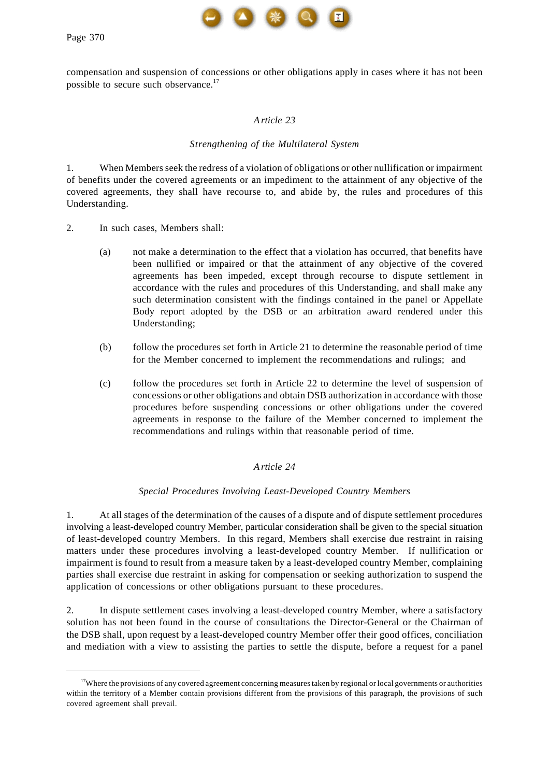compensation and suspension of concessions or other obligations apply in cases where it has not been possible to secure such observance.<sup>17</sup>

### *Article 23*

### *Strengthening of the Multilateral System*

1. When Members seek the redress of a violation of obligations or other nullification or impairment of benefits under the covered agreements or an impediment to the attainment of any objective of the covered agreements, they shall have recourse to, and abide by, the rules and procedures of this Understanding.

2. In such cases, Members shall:

 $\overline{a}$ 

- (a) not make a determination to the effect that a violation has occurred, that benefits have been nullified or impaired or that the attainment of any objective of the covered agreements has been impeded, except through recourse to dispute settlement in accordance with the rules and procedures of this Understanding, and shall make any such determination consistent with the findings contained in the panel or Appellate Body report adopted by the DSB or an arbitration award rendered under this Understanding;
- (b) follow the procedures set forth in Article 21 to determine the reasonable period of time for the Member concerned to implement the recommendations and rulings; and
- (c) follow the procedures set forth in Article 22 to determine the level of suspension of concessions or other obligations and obtain DSB authorization in accordance with those procedures before suspending concessions or other obligations under the covered agreements in response to the failure of the Member concerned to implement the recommendations and rulings within that reasonable period of time.

## *Article 24*

## *Special Procedures Involving Least-Developed Country Members*

1. At all stages of the determination of the causes of a dispute and of dispute settlement procedures involving a least-developed country Member, particular consideration shall be given to the special situation of least-developed country Members. In this regard, Members shall exercise due restraint in raising matters under these procedures involving a least-developed country Member. If nullification or impairment is found to result from a measure taken by a least-developed country Member, complaining parties shall exercise due restraint in asking for compensation or seeking authorization to suspend the application of concessions or other obligations pursuant to these procedures.

2. In dispute settlement cases involving a least-developed country Member, where a satisfactory solution has not been found in the course of consultations the Director-General or the Chairman of the DSB shall, upon request by a least-developed country Member offer their good offices, conciliation and mediation with a view to assisting the parties to settle the dispute, before a request for a panel

 $17$ Where the provisions of any covered agreement concerning measures taken by regional or local governments or authorities within the territory of a Member contain provisions different from the provisions of this paragraph, the provisions of such covered agreement shall prevail.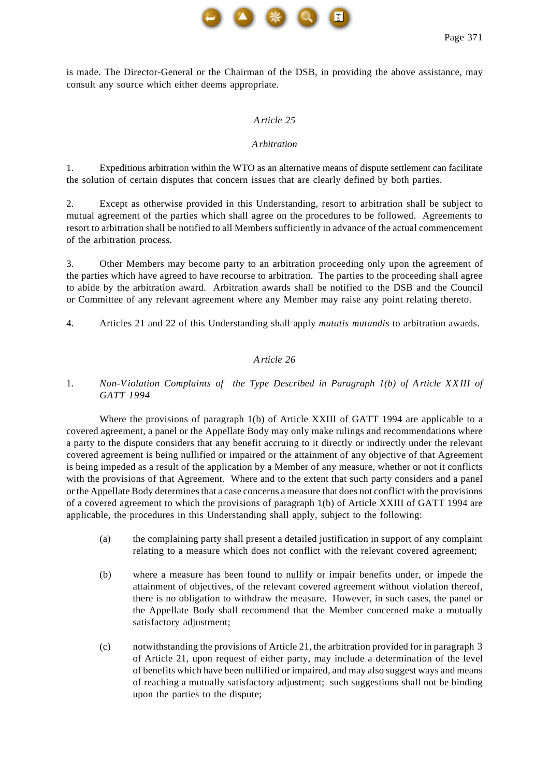is made. The Director-General or the Chairman of the DSB, in providing the above assistance, may consult any source which either deems appropriate.

## *Article 25*

## *Arbitration*

1. Expeditious arbitration within the WTO as an alternative means of dispute settlement can facilitate the solution of certain disputes that concern issues that are clearly defined by both parties.

2. Except as otherwise provided in this Understanding, resort to arbitration shall be subject to mutual agreement of the parties which shall agree on the procedures to be followed. Agreements to resort to arbitration shall be notified to all Members sufficiently in advance of the actual commencement of the arbitration process.

3. Other Members may become party to an arbitration proceeding only upon the agreement of the parties which have agreed to have recourse to arbitration. The parties to the proceeding shall agree to abide by the arbitration award. Arbitration awards shall be notified to the DSB and the Council or Committee of any relevant agreement where any Member may raise any point relating thereto.

4. Articles 21 and 22 of this Understanding shall apply *mutatis mutandis* to arbitration awards.

# *Article 26*

## 1. *Non-Violation Complaints of the Type Described in Paragraph 1(b) of Article X XIII of GATT 1994*

Where the provisions of paragraph 1(b) of Article XXIII of GATT 1994 are applicable to a covered agreement, a panel or the Appellate Body may only make rulings and recommendations where a party to the dispute considers that any benefit accruing to it directly or indirectly under the relevant covered agreement is being nullified or impaired or the attainment of any objective of that Agreement is being impeded as a result of the application by a Member of any measure, whether or not it conflicts with the provisions of that Agreement. Where and to the extent that such party considers and a panel or the Appellate Body determines that a case concerns a measure that does not conflict with the provisions of a covered agreement to which the provisions of paragraph 1(b) of Article XXIII of GATT 1994 are applicable, the procedures in this Understanding shall apply, subject to the following:

- (a) the complaining party shall present a detailed justification in support of any complaint relating to a measure which does not conflict with the relevant covered agreement;
- (b) where a measure has been found to nullify or impair benefits under, or impede the attainment of objectives, of the relevant covered agreement without violation thereof, there is no obligation to withdraw the measure. However, in such cases, the panel or the Appellate Body shall recommend that the Member concerned make a mutually satisfactory adjustment;
- (c) notwithstanding the provisions of Article 21, the arbitration provided for in paragraph 3 of Article 21, upon request of either party, may include a determination of the level of benefits which have been nullified or impaired, and may also suggest ways and means of reaching a mutually satisfactory adjustment; such suggestions shall not be binding upon the parties to the dispute;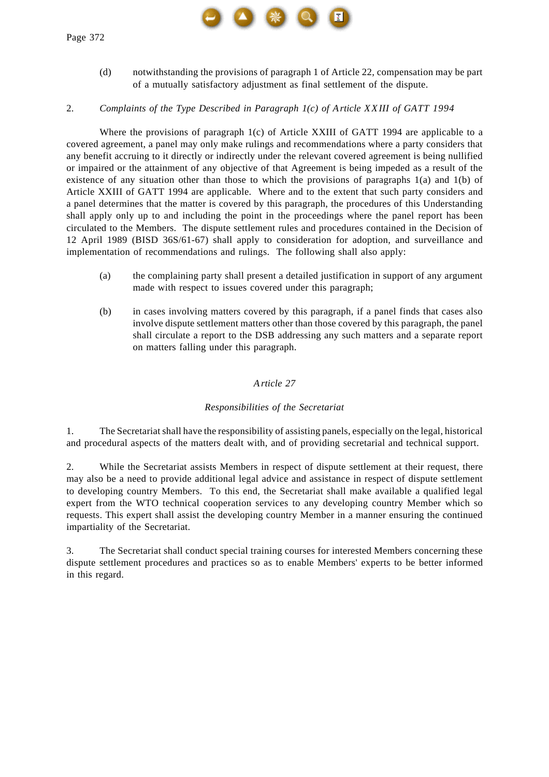(d) notwithstanding the provisions of paragraph 1 of Article 22, compensation may be part of a mutually satisfactory adjustment as final settlement of the dispute.

## 2. *Complaints of the Type Described in Paragraph 1(c) of Article X XIII of GATT 1994*

Where the provisions of paragraph 1(c) of Article XXIII of GATT 1994 are applicable to a covered agreement, a panel may only make rulings and recommendations where a party considers that any benefit accruing to it directly or indirectly under the relevant covered agreement is being nullified or impaired or the attainment of any objective of that Agreement is being impeded as a result of the existence of any situation other than those to which the provisions of paragraphs 1(a) and 1(b) of Article XXIII of GATT 1994 are applicable. Where and to the extent that such party considers and a panel determines that the matter is covered by this paragraph, the procedures of this Understanding shall apply only up to and including the point in the proceedings where the panel report has been circulated to the Members. The dispute settlement rules and procedures contained in the Decision of 12 April 1989 (BISD 36S/61-67) shall apply to consideration for adoption, and surveillance and implementation of recommendations and rulings. The following shall also apply:

- (a) the complaining party shall present a detailed justification in support of any argument made with respect to issues covered under this paragraph;
- (b) in cases involving matters covered by this paragraph, if a panel finds that cases also involve dispute settlement matters other than those covered by this paragraph, the panel shall circulate a report to the DSB addressing any such matters and a separate report on matters falling under this paragraph.

## *Article 27*

## *Responsibilities of the Secretariat*

1. The Secretariat shall have the responsibility of assisting panels, especially on the legal, historical and procedural aspects of the matters dealt with, and of providing secretarial and technical support.

2. While the Secretariat assists Members in respect of dispute settlement at their request, there may also be a need to provide additional legal advice and assistance in respect of dispute settlement to developing country Members. To this end, the Secretariat shall make available a qualified legal expert from the WTO technical cooperation services to any developing country Member which so requests. This expert shall assist the developing country Member in a manner ensuring the continued impartiality of the Secretariat.

3. The Secretariat shall conduct special training courses for interested Members concerning these dispute settlement procedures and practices so as to enable Members' experts to be better informed in this regard.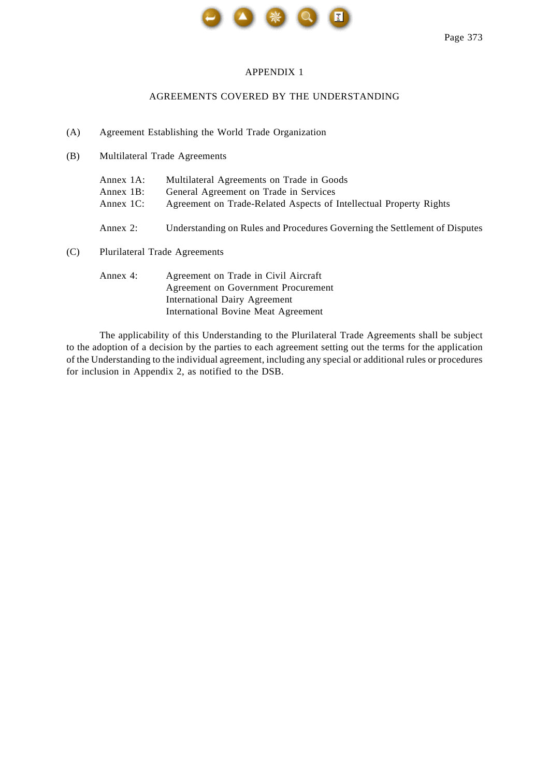### AGREEMENTS COVERED BY THE UNDERSTANDING

- (A) Agreement Establishing the World Trade Organization
- (B) Multilateral Trade Agreements

|     | Annex 1A:<br>Annex $1B$ :<br>Annex $1C$ : | Multilateral Agreements on Trade in Goods<br>General Agreement on Trade in Services<br>Agreement on Trade-Related Aspects of Intellectual Property Rights |
|-----|-------------------------------------------|-----------------------------------------------------------------------------------------------------------------------------------------------------------|
|     | Annex $2$ :                               | Understanding on Rules and Procedures Governing the Settlement of Disputes                                                                                |
| (C) |                                           | Plurilateral Trade Agreements                                                                                                                             |

| Annex 4: | Agreement on Trade in Civil Aircraft |
|----------|--------------------------------------|
|          | Agreement on Government Procurement  |
|          | International Dairy Agreement        |
|          | International Bovine Meat Agreement  |

The applicability of this Understanding to the Plurilateral Trade Agreements shall be subject to the adoption of a decision by the parties to each agreement setting out the terms for the application of the Understanding to the individual agreement, including any special or additional rules or procedures for inclusion in Appendix 2, as notified to the DSB.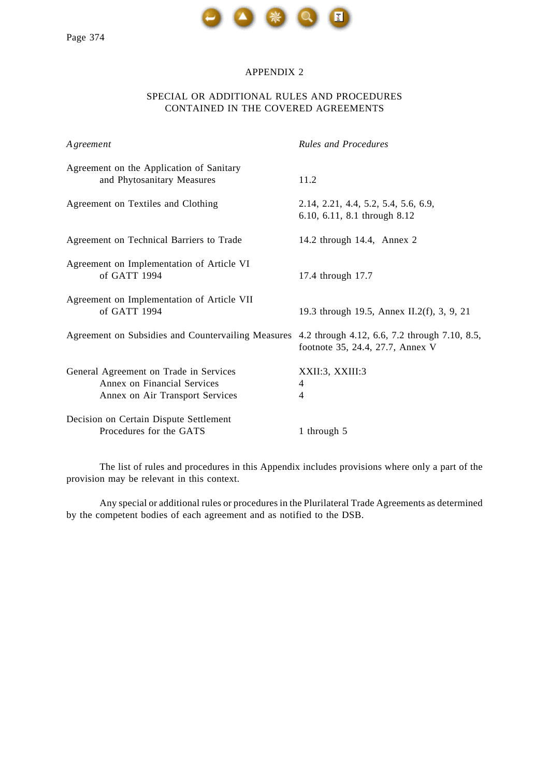## SPECIAL OR ADDITIONAL RULES AND PROCEDURES CONTAINED IN THE COVERED AGREEMENTS

| A greement                                                                                               | <b>Rules and Procedures</b>                                                       |
|----------------------------------------------------------------------------------------------------------|-----------------------------------------------------------------------------------|
| Agreement on the Application of Sanitary<br>and Phytosanitary Measures                                   | 11.2                                                                              |
| Agreement on Textiles and Clothing                                                                       | 2.14, 2.21, 4.4, 5.2, 5.4, 5.6, 6.9,<br>6.10, 6.11, 8.1 through 8.12              |
| Agreement on Technical Barriers to Trade                                                                 | 14.2 through 14.4, Annex 2                                                        |
| Agreement on Implementation of Article VI<br>of GATT 1994                                                | 17.4 through 17.7                                                                 |
| Agreement on Implementation of Article VII<br>of GATT 1994                                               | 19.3 through 19.5, Annex II.2(f), 3, 9, 21                                        |
| Agreement on Subsidies and Countervailing Measures                                                       | 4.2 through 4.12, 6.6, 7.2 through 7.10, 8.5,<br>footnote 35, 24.4, 27.7, Annex V |
| General Agreement on Trade in Services<br>Annex on Financial Services<br>Annex on Air Transport Services | XXII:3, XXIII:3<br>4<br>4                                                         |
| Decision on Certain Dispute Settlement<br>Procedures for the GATS                                        | 1 through 5                                                                       |

The list of rules and procedures in this Appendix includes provisions where only a part of the provision may be relevant in this context.

Any special or additional rules or procedures in the Plurilateral Trade Agreements as determined by the competent bodies of each agreement and as notified to the DSB.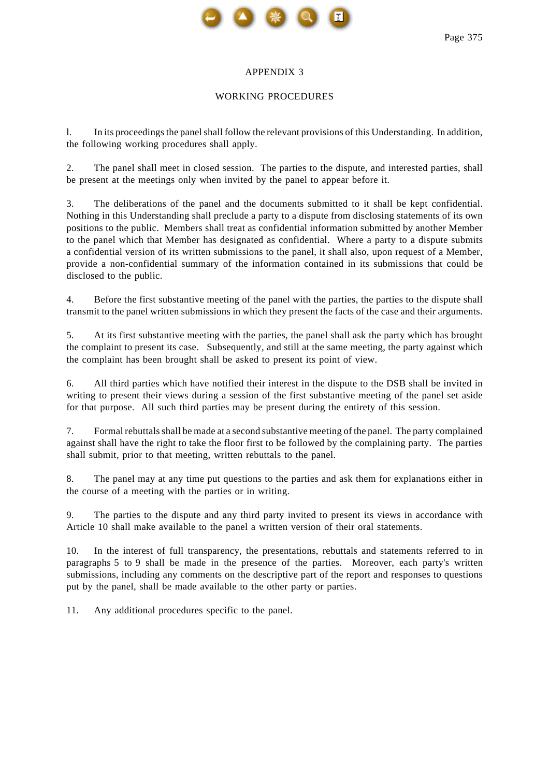## WORKING PROCEDURES

l. In its proceedings the panel shall follow the relevant provisions of this Understanding. In addition, the following working procedures shall apply.

2. The panel shall meet in closed session. The parties to the dispute, and interested parties, shall be present at the meetings only when invited by the panel to appear before it.

3. The deliberations of the panel and the documents submitted to it shall be kept confidential. Nothing in this Understanding shall preclude a party to a dispute from disclosing statements of its own positions to the public. Members shall treat as confidential information submitted by another Member to the panel which that Member has designated as confidential. Where a party to a dispute submits a confidential version of its written submissions to the panel, it shall also, upon request of a Member, provide a non-confidential summary of the information contained in its submissions that could be disclosed to the public.

4. Before the first substantive meeting of the panel with the parties, the parties to the dispute shall transmit to the panel written submissions in which they present the facts of the case and their arguments.

5. At its first substantive meeting with the parties, the panel shall ask the party which has brought the complaint to present its case. Subsequently, and still at the same meeting, the party against which the complaint has been brought shall be asked to present its point of view.

6. All third parties which have notified their interest in the dispute to the DSB shall be invited in writing to present their views during a session of the first substantive meeting of the panel set aside for that purpose. All such third parties may be present during the entirety of this session.

7. Formal rebuttals shall be made at a second substantive meeting of the panel. The party complained against shall have the right to take the floor first to be followed by the complaining party. The parties shall submit, prior to that meeting, written rebuttals to the panel.

8. The panel may at any time put questions to the parties and ask them for explanations either in the course of a meeting with the parties or in writing.

9. The parties to the dispute and any third party invited to present its views in accordance with Article 10 shall make available to the panel a written version of their oral statements.

10. In the interest of full transparency, the presentations, rebuttals and statements referred to in paragraphs 5 to 9 shall be made in the presence of the parties. Moreover, each party's written submissions, including any comments on the descriptive part of the report and responses to questions put by the panel, shall be made available to the other party or parties.

11. Any additional procedures specific to the panel.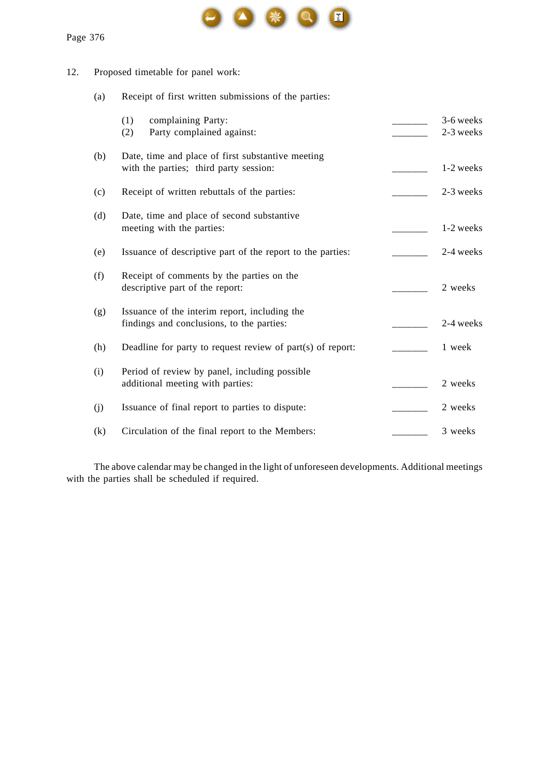# 12. Proposed timetable for panel work:

(a) Receipt of first written submissions of the parties:

|     | (1)<br>complaining Party:<br>Party complained against:<br>(2)                               | 3-6 weeks<br>2-3 weeks |
|-----|---------------------------------------------------------------------------------------------|------------------------|
| (b) | Date, time and place of first substantive meeting<br>with the parties; third party session: | 1-2 weeks              |
| (c) | Receipt of written rebuttals of the parties:                                                | 2-3 weeks              |
| (d) | Date, time and place of second substantive<br>meeting with the parties:                     | 1-2 weeks              |
| (e) | Issuance of descriptive part of the report to the parties:                                  | 2-4 weeks              |
| (f) | Receipt of comments by the parties on the<br>descriptive part of the report:                | 2 weeks                |
| (g) | Issuance of the interim report, including the<br>findings and conclusions, to the parties:  | 2-4 weeks              |
| (h) | Deadline for party to request review of part(s) of report:                                  | 1 week                 |
| (i) | Period of review by panel, including possible<br>additional meeting with parties:           | 2 weeks                |
| (i) | Issuance of final report to parties to dispute:                                             | 2 weeks                |
| (k) | Circulation of the final report to the Members:                                             | 3 weeks                |
|     |                                                                                             |                        |

The above calendar may be changed in the light of unforeseen developments. Additional meetings with the parties shall be scheduled if required.